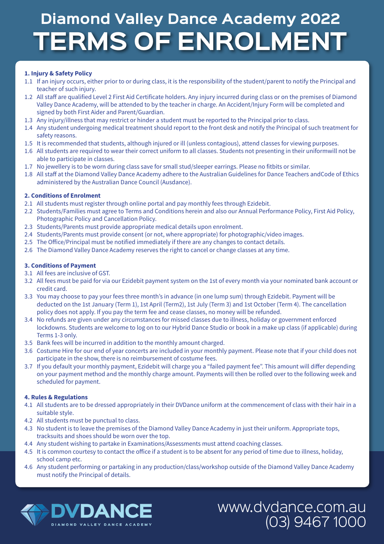# **TERMS OF ENROLMENT Diamond Valley Dance Academy 2022**

# **1. Injury & Safety Policy**

- 1.1 If an injury occurs, either prior to or during class, it is the responsibility of the student/parent to notify the Principal and teacher of such injury.
- 1.2 All staff are qualified Level 2 First Aid Certificate holders. Any injury incurred during class or on the premises of Diamond Valley Dance Academy, will be attended to by the teacher in charge. An Accident/Injury Form will be completed and signed by both First Aider and Parent/Guardian.
- 1.3 Any injury/illness that may restrict or hinder a student must be reported to the Principal prior to class.
- 1.4 Any student undergoing medical treatment should report to the front desk and notify the Principal of such treatment for safety reasons.
- 1.5 It is recommended that students, although injured or ill (unless contagious), attend classes for viewing purposes.
- 1.6 All students are required to wear their correct uniform to all classes. Students not presenting in their uniformwill not be able to participate in classes.
- 1.7 No jewellery is to be worn during class save for small stud/sleeper earrings. Please no fitbits or similar.
- 1.8 All staff at the Diamond Valley Dance Academy adhere to the Australian Guidelines for Dance Teachers andCode of Ethics administered by the Australian Dance Council (Ausdance).

### **2. Conditions of Enrolment**

- 2.1 All students must register through online portal and pay monthly fees through Ezidebit.
- 2.2 Students/Families must agree to Terms and Conditions herein and also our Annual Performance Policy, First Aid Policy, Photographic Policy and Cancellation Policy.
- 2.3 Students/Parents must provide appropriate medical details upon enrolment.
- 2.4 Students/Parents must provide consent (or not, where appropriate) for photographic/video images.
- 2.5 The Office/Principal must be notified immediately if there are any changes to contact details.
- 2.6 The Diamond Valley Dance Academy reserves the right to cancel or change classes at any time.

### **3. Conditions of Payment**

- 3.1 All fees are inclusive of GST.
- 3.2 All fees must be paid for via our Ezidebit payment system on the 1st of every month via your nominated bank account or credit card.
- 3.3 You may choose to pay your fees three month's in advance (in one lump sum) through Ezidebit. Payment will be deducted on the 1st January (Term 1), 1st April (Term2), 1st July (Term 3) and 1st October (Term 4). The cancellation policy does not apply. If you pay the term fee and cease classes, no money will be refunded.
- 3.4 No refunds are given under any circumstances for missed classes due to illness, holiday or government enforced lockdowns. Students are welcome to log on to our Hybrid Dance Studio or book in a make up class (if applicable) during Terms 1-3 only.
- 3.5 Bank fees will be incurred in addition to the monthly amount charged.
- 3.6 Costume Hire for our end of year concerts are included in your monthly payment. Please note that if your child does not participate in the show, there is no reimbursement of costume fees.
- 3.7 If you default your monthly payment, Ezidebit will charge you a "failed payment fee". This amount will differ depending on your payment method and the monthly charge amount. Payments will then be rolled over to the following week and scheduled for payment.

#### **4. Rules & Regulations**

- 4.1 All students are to be dressed appropriately in their DVDance uniform at the commencement of class with their hair in a suitable style.
- 4.2 All students must be punctual to class.
- 4.3 No student is to leave the premises of the Diamond Valley Dance Academy in just their uniform. Appropriate tops, tracksuits and shoes should be worn over the top.
- 4.4 Any student wishing to partake in Examinations/Assessments must attend coaching classes.
- 4.5 It is common courtesy to contact the office if a student is to be absent for any period of time due to illness, holiday, school camp etc.
- 4.6 Any student performing or partaking in any production/class/workshop outside of the Diamond Valley Dance Academy must notify the Principal of details.

www.dvdance.com.au

(03) 9467 1000

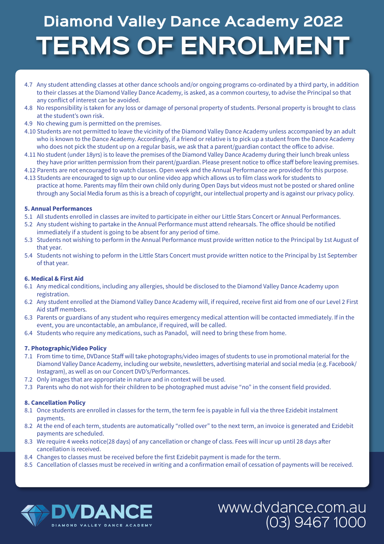# **TERMS OF ENROLMENT Diamond Valley Dance Academy 2022**

- 4.7 Any student attending classes at other dance schools and/or ongoing programs co-ordinated by a third party, in addition to their classes at the Diamond Valley Dance Academy, is asked, as a common courtesy, to advise the Principal so that any conflict of interest can be avoided.
- 4.8 No responsibility is taken for any loss or damage of personal property of students. Personal property is brought to class at the student's own risk.
- 4.9 No chewing gum is permitted on the premises.
- 4.10 Students are not permitted to leave the vicinity of the Diamond Valley Dance Academy unless accompanied by an adult who is known to the Dance Academy. Accordingly, if a friend or relative is to pick up a student from the Dance Academy who does not pick the student up on a regular basis, we ask that a parent/guardian contact the office to advise.
- 4.11 No student (under 18yrs) is to leave the premises of the Diamond Valley Dance Academy during their lunch break unless they have prior written permission from their parent/guardian. Please present notice to office staff before leaving premises.
- 4.12 Parents are not encouraged to watch classes. Open week and the Annual Performance are provided for this purpose.
- 4.13 Students are encouraged to sign up to our online video app which allows us to film class work for students to practice at home. Parents may film their own child only during Open Days but videos must not be posted or shared online through any Social Media forum as this is a breach of copyright, our intellectual property and is against our privacy policy.

## **5. Annual Performances**

- 5.1 All students enrolled in classes are invited to participate in either our Little Stars Concert or Annual Performances.
- 5.2 Any student wishing to partake in the Annual Performance must attend rehearsals. The office should be notified immediately if a student is going to be absent for any period of time.
- 5.3 Students not wishing to perform in the Annual Performance must provide written notice to the Principal by 1st August of that year.
- 5.4 Students not wishing to peform in the Little Stars Concert must provide written notice to the Principal by 1st September of that year.

#### **6. Medical & First Aid**

- 6.1 Any medical conditions, including any allergies, should be disclosed to the Diamond Valley Dance Academy upon registration.
- 6.2 Any student enrolled at the Diamond Valley Dance Academy will, if required, receive first aid from one of our Level 2 First Aid staff members.
- 6.3 Parents or guardians of any student who requires emergency medical attention will be contacted immediately. If in the event, you are uncontactable, an ambulance, if required, will be called.
- 6.4 Students who require any medications, such as Panadol, will need to bring these from home.

#### **7. Photographic/Video Policy**

- 7.1 From time to time, DVDance Staff will take photographs/video images of students to use in promotional material for the Diamond Valley Dance Academy, including our website, newsletters, advertising material and social media (e.g. Facebook/ Instagram), as well as on our Concert DVD's/Performances.
- 7.2 Only images that are appropriate in nature and in context will be used.
- 7.3 Parents who do not wish for their children to be photographed must advise "no" in the consent field provided.

#### **8. Cancellation Policy**

- 8.1 Once students are enrolled in classes for the term, the term fee is payable in full via the three Ezidebit instalment payments.
- 8.2 At the end of each term, students are automatically "rolled over" to the next term, an invoice is generated and Ezidebit payments are scheduled.
- 8.3 We require 4 weeks notice(28 days) of any cancellation or change of class. Fees will incur up until 28 days after cancellation is received.
- 8.4 Changes to classes must be received before the first Ezidebit payment is made for the term.
- 8.5 Cancellation of classes must be received in writing and a confirmation email of cessation of payments will be received.

www.dvdance.com.au

(03) 9467 1000